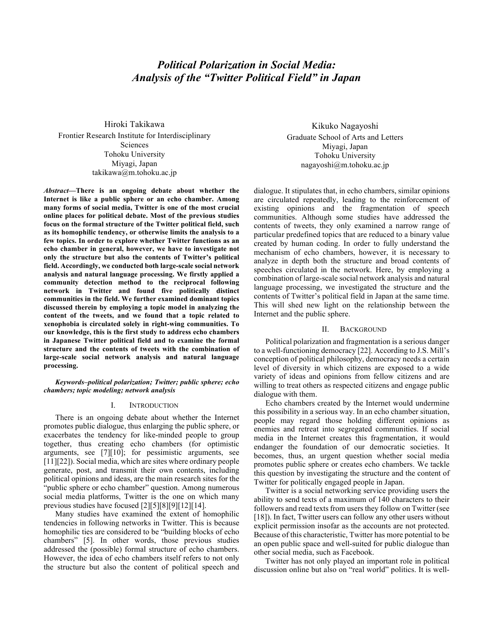# *Political Polarization in Social Media: Analysis of the "Twitter Political Field" in Japan*

Hiroki Takikawa Frontier Research Institute for Interdisciplinary Sciences Tohoku University Miyagi, Japan takikawa@m.tohoku.ac.jp

*Abstract***—There is an ongoing debate about whether the Internet is like a public sphere or an echo chamber. Among many forms of social media, Twitter is one of the most crucial online places for political debate. Most of the previous studies focus on the formal structure of the Twitter political field, such as its homophilic tendency, or otherwise limits the analysis to a few topics. In order to explore whether Twitter functions as an echo chamber in general, however, we have to investigate not only the structure but also the contents of Twitter's political field. Accordingly, we conducted both large-scale social network analysis and natural language processing. We firstly applied a community detection method to the reciprocal following network in Twitter and found five politically distinct communities in the field. We further examined dominant topics discussed therein by employing a topic model in analyzing the content of the tweets, and we found that a topic related to xenophobia is circulated solely in right-wing communities. To our knowledge, this is the first study to address echo chambers in Japanese Twitter political field and to examine the formal structure and the contents of tweets with the combination of large-scale social network analysis and natural language processing.** 

*Keywords–political polarization; Twitter; public sphere; echo chambers; topic modeling; network analysis*

# I. INTRODUCTION

There is an ongoing debate about whether the Internet promotes public dialogue, thus enlarging the public sphere, or exacerbates the tendency for like-minded people to group together, thus creating echo chambers (for optimistic arguments, see [7][10]; for pessimistic arguments, see [11][22]). Social media, which are sites where ordinary people generate, post, and transmit their own contents, including political opinions and ideas, are the main research sites for the "public sphere or echo chamber" question. Among numerous social media platforms, Twitter is the one on which many previous studies have focused [2][5][8][9][12][14].

Many studies have examined the extent of homophilic tendencies in following networks in Twitter. This is because homophilic ties are considered to be "building blocks of echo chambers" [5]. In other words, those previous studies addressed the (possible) formal structure of echo chambers. However, the idea of echo chambers itself refers to not only the structure but also the content of political speech and

Kikuko Nagayoshi Graduate School of Arts and Letters Miyagi, Japan Tohoku University nagayoshi@m.tohoku.ac.jp

dialogue. It stipulates that, in echo chambers, similar opinions are circulated repeatedly, leading to the reinforcement of existing opinions and the fragmentation of speech communities. Although some studies have addressed the contents of tweets, they only examined a narrow range of particular predefined topics that are reduced to a binary value created by human coding. In order to fully understand the mechanism of echo chambers, however, it is necessary to analyze in depth both the structure and broad contents of speeches circulated in the network. Here, by employing a combination of large-scale social network analysis and natural language processing, we investigated the structure and the contents of Twitter's political field in Japan at the same time. This will shed new light on the relationship between the Internet and the public sphere.

## II. BACKGROUND

Political polarization and fragmentation is a serious danger to a well-functioning democracy [22]. According to J.S. Mill's conception of political philosophy, democracy needs a certain level of diversity in which citizens are exposed to a wide variety of ideas and opinions from fellow citizens and are willing to treat others as respected citizens and engage public dialogue with them.

Echo chambers created by the Internet would undermine this possibility in a serious way. In an echo chamber situation, people may regard those holding different opinions as enemies and retreat into segregated communities. If social media in the Internet creates this fragmentation, it would endanger the foundation of our democratic societies. It becomes, thus, an urgent question whether social media promotes public sphere or creates echo chambers. We tackle this question by investigating the structure and the content of Twitter for politically engaged people in Japan.

Twitter is a social networking service providing users the ability to send texts of a maximum of 140 characters to their followers and read texts from users they follow on Twitter (see [18]). In fact, Twitter users can follow any other users without explicit permission insofar as the accounts are not protected. Because of this characteristic, Twitter has more potential to be an open public space and well-suited for public dialogue than other social media, such as Facebook.

Twitter has not only played an important role in political discussion online but also on "real world" politics. It is well-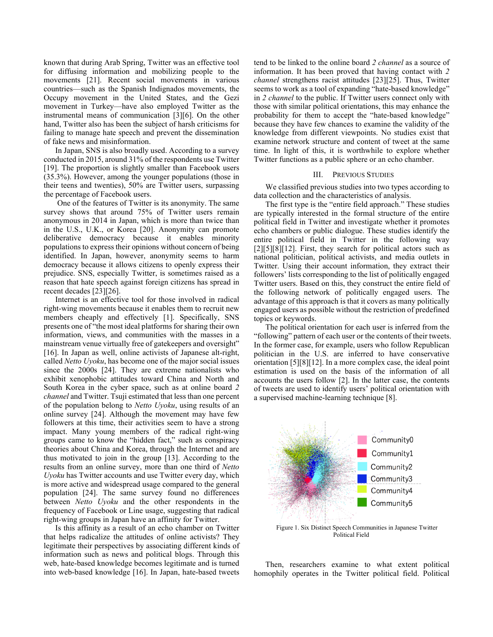known that during Arab Spring, Twitter was an effective tool for diffusing information and mobilizing people to the movements [21]. Recent social movements in various countries—such as the Spanish Indignados movements, the Occupy movement in the United States, and the Gezi movement in Turkey—have also employed Twitter as the instrumental means of communication [3][6]. On the other hand, Twitter also has been the subject of harsh criticisms for failing to manage hate speech and prevent the dissemination of fake news and misinformation.

In Japan, SNS is also broadly used. According to a survey conducted in 2015, around 31% of the respondents use Twitter [19]. The proportion is slightly smaller than Facebook users (35.3%). However, among the younger populations (those in their teens and twenties), 50% are Twitter users, surpassing the percentage of Facebook users.

One of the features of Twitter is its anonymity. The same survey shows that around 75% of Twitter users remain anonymous in 2014 in Japan, which is more than twice than in the U.S., U.K., or Korea [20]. Anonymity can promote deliberative democracy because it enables minority populations to express their opinions without concern of being identified. In Japan, however, anonymity seems to harm democracy because it allows citizens to openly express their prejudice. SNS, especially Twitter, is sometimes raised as a reason that hate speech against foreign citizens has spread in recent decades [23][26].

Internet is an effective tool for those involved in radical right-wing movements because it enables them to recruit new members cheaply and effectively [1]. Specifically, SNS presents one of "the most ideal platforms for sharing their own information, views, and communities with the masses in a mainstream venue virtually free of gatekeepers and oversight" [16]. In Japan as well, online activists of Japanese alt-right, called *Netto Uyoku*, has become one of the major social issues since the 2000s [24]. They are extreme nationalists who exhibit xenophobic attitudes toward China and North and South Korea in the cyber space, such as at online board *2 channel* and Twitter. Tsuji estimated that less than one percent of the population belong to *Netto Uyoku*, using results of an online survey [24]. Although the movement may have few followers at this time, their activities seem to have a strong impact. Many young members of the radical right-wing groups came to know the "hidden fact," such as conspiracy theories about China and Korea, through the Internet and are thus motivated to join in the group [13]. According to the results from an online survey, more than one third of *Netto Uyoku* has Twitter accounts and use Twitter every day, which is more active and widespread usage compared to the general population [24]. The same survey found no differences between *Netto Uyoku* and the other respondents in the frequency of Facebook or Line usage, suggesting that radical right-wing groups in Japan have an affinity for Twitter.

Is this affinity as a result of an echo chamber on Twitter that helps radicalize the attitudes of online activists? They legitimate their perspectives by associating different kinds of information such as news and political blogs. Through this web, hate-based knowledge becomes legitimate and is turned into web-based knowledge [16]. In Japan, hate-based tweets

tend to be linked to the online board *2 channel* as a source of information. It has been proved that having contact with *2 channel* strengthens racist attitudes [23][25]. Thus, Twitter seems to work as a tool of expanding "hate-based knowledge" in *2 channel* to the public. If Twitter users connect only with those with similar political orientations, this may enhance the probability for them to accept the "hate-based knowledge" because they have few chances to examine the validity of the knowledge from different viewpoints. No studies exist that examine network structure and content of tweet at the same time. In light of this, it is worthwhile to explore whether Twitter functions as a public sphere or an echo chamber.

#### III. PREVIOUS STUDIES

We classified previous studies into two types according to data collection and the characteristics of analysis.

The first type is the "entire field approach." These studies are typically interested in the formal structure of the entire political field in Twitter and investigate whether it promotes echo chambers or public dialogue. These studies identify the entire political field in Twitter in the following way  $[2][5][8][12]$ . First, they search for political actors such as national politician, political activists, and media outlets in Twitter. Using their account information, they extract their followers' lists corresponding to the list of politically engaged Twitter users. Based on this, they construct the entire field of the following network of politically engaged users. The advantage of this approach is that it covers as many politically engaged users as possible without the restriction of predefined topics or keywords.

The political orientation for each user is inferred from the "following" pattern of each user or the contents of their tweets. In the former case, for example, users who follow Republican politician in the U.S. are inferred to have conservative orientation [5][8][12]. In a more complex case, the ideal point estimation is used on the basis of the information of all accounts the users follow [2]. In the latter case, the contents of tweets are used to identify users' political orientation with a supervised machine-learning technique [8].



Then, researchers examine to what extent political homophily operates in the Twitter political field. Political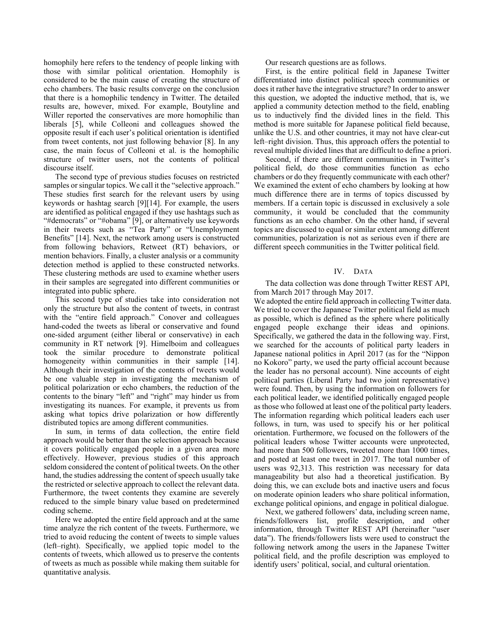homophily here refers to the tendency of people linking with those with similar political orientation. Homophily is considered to be the main cause of creating the structure of echo chambers. The basic results converge on the conclusion that there is a homophilic tendency in Twitter. The detailed results are, however, mixed. For example, Boutyline and Willer reported the conservatives are more homophilic than liberals [5], while Colleoni and colleagues showed the opposite result if each user's political orientation is identified from tweet contents, not just following behavior [8]. In any case, the main focus of Colleoni et al. is the homophilic structure of twitter users, not the contents of political discourse itself.

The second type of previous studies focuses on restricted samples or singular topics. We call it the "selective approach." These studies first search for the relevant users by using keywords or hashtag search [9][14]. For example, the users are identified as political engaged if they use hashtags such as "#democrats" or "#obama" [9], or alternatively use keywords in their tweets such as "Tea Party" or "Unemployment Benefits" [14]. Next, the network among users is constructed from following behaviors, Retweet (RT) behaviors, or mention behaviors. Finally, a cluster analysis or a community detection method is applied to these constructed networks. These clustering methods are used to examine whether users in their samples are segregated into different communities or integrated into public sphere.

This second type of studies take into consideration not only the structure but also the content of tweets, in contrast with the "entire field approach." Conover and colleagues hand-coded the tweets as liberal or conservative and found one-sided argument (either liberal or conservative) in each community in RT network [9]. Himelboim and colleagues took the similar procedure to demonstrate political homogeneity within communities in their sample [14]. Although their investigation of the contents of tweets would be one valuable step in investigating the mechanism of political polarization or echo chambers, the reduction of the contents to the binary "left" and "right" may hinder us from investigating its nuances. For example, it prevents us from asking what topics drive polarization or how differently distributed topics are among different communities.

In sum, in terms of data collection, the entire field approach would be better than the selection approach because it covers politically engaged people in a given area more effectively. However, previous studies of this approach seldom considered the content of political tweets. On the other hand, the studies addressing the content of speech usually take the restricted or selective approach to collect the relevant data. Furthermore, the tweet contents they examine are severely reduced to the simple binary value based on predetermined coding scheme.

Here we adopted the entire field approach and at the same time analyze the rich content of the tweets. Furthermore, we tried to avoid reducing the content of tweets to simple values (left–right). Specifically, we applied topic model to the contents of tweets, which allowed us to preserve the contents of tweets as much as possible while making them suitable for quantitative analysis.

Our research questions are as follows.

First, is the entire political field in Japanese Twitter differentiated into distinct political speech communities or does it rather have the integrative structure? In order to answer this question, we adopted the inductive method, that is, we applied a community detection method to the field, enabling us to inductively find the divided lines in the field. This method is more suitable for Japanese political field because, unlike the U.S. and other countries, it may not have clear-cut left–right division. Thus, this approach offers the potential to reveal multiple divided lines that are difficult to define a priori.

Second, if there are different communities in Twitter's political field, do those communities function as echo chambers or do they frequently communicate with each other? We examined the extent of echo chambers by looking at how much difference there are in terms of topics discussed by members. If a certain topic is discussed in exclusively a sole community, it would be concluded that the community functions as an echo chamber. On the other hand, if several topics are discussed to equal or similar extent among different communities, polarization is not as serious even if there are different speech communities in the Twitter political field.

IV. DATA

The data collection was done through Twitter REST API, from March 2017 through May 2017.

We adopted the entire field approach in collecting Twitter data. We tried to cover the Japanese Twitter political field as much as possible, which is defined as the sphere where politically engaged people exchange their ideas and opinions. Specifically, we gathered the data in the following way. First, we searched for the accounts of political party leaders in Japanese national politics in April 2017 (as for the "Nippon no Kokoro" party, we used the party official account because the leader has no personal account). Nine accounts of eight political parties (Liberal Party had two joint representative) were found. Then, by using the information on followers for each political leader, we identified politically engaged people as those who followed at least one of the political party leaders. The information regarding which political leaders each user follows, in turn, was used to specify his or her political orientation. Furthermore, we focused on the followers of the political leaders whose Twitter accounts were unprotected, had more than 500 followers, tweeted more than 1000 times, and posted at least one tweet in 2017. The total number of users was 92,313. This restriction was necessary for data manageability but also had a theoretical justification. By doing this, we can exclude bots and inactive users and focus on moderate opinion leaders who share political information, exchange political opinions, and engage in political dialogue.

Next, we gathered followers' data, including screen name, friends/followers list, profile description, and other information, through Twitter REST API (hereinafter "user data"). The friends/followers lists were used to construct the following network among the users in the Japanese Twitter political field, and the profile description was employed to identify users' political, social, and cultural orientation.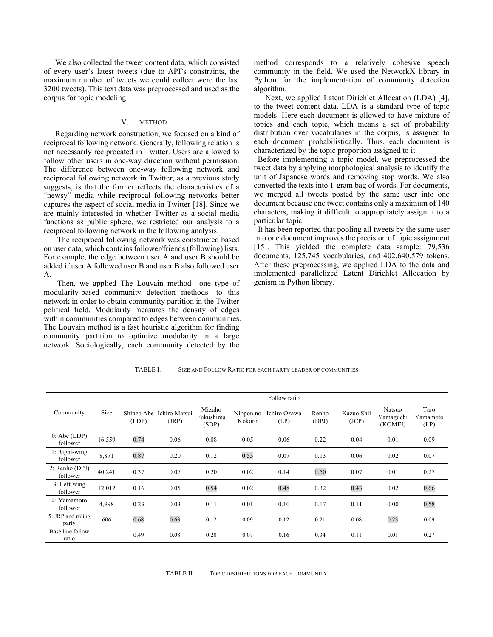We also collected the tweet content data, which consisted of every user's latest tweets (due to API's constraints, the maximum number of tweets we could collect were the last 3200 tweets). This text data was preprocessed and used as the corpus for topic modeling.

# V. METHOD

Regarding network construction, we focused on a kind of reciprocal following network. Generally, following relation is not necessarily reciprocated in Twitter. Users are allowed to follow other users in one-way direction without permission. The difference between one-way following network and reciprocal following network in Twitter, as a previous study suggests, is that the former reflects the characteristics of a "newsy" media while reciprocal following networks better captures the aspect of social media in Twitter [18]. Since we are mainly interested in whether Twitter as a social media functions as public sphere, we restricted our analysis to a reciprocal following network in the following analysis.

The reciprocal following network was constructed based on user data, which contains follower/friends (following) lists. For example, the edge between user A and user B should be added if user A followed user B and user B also followed user A.

Then, we applied The Louvain method—one type of modularity-based community detection methods—to this network in order to obtain community partition in the Twitter political field. Modularity measures the density of edges within communities compared to edges between communities. The Louvain method is a fast heuristic algorithm for finding community partition to optimize modularity in a large network. Sociologically, each community detected by the

method corresponds to a relatively cohesive speech community in the field. We used the NetworkX library in Python for the implementation of community detection algorithm.

Next, we applied Latent Dirichlet Allocation (LDA) [4], to the tweet content data. LDA is a standard type of topic models. Here each document is allowed to have mixture of topics and each topic, which means a set of probability distribution over vocabularies in the corpus, is assigned to each document probabilistically. Thus, each document is characterized by the topic proportion assigned to it.

 Before implementing a topic model, we preprocessed the tweet data by applying morphological analysis to identify the unit of Japanese words and removing stop words. We also converted the texts into 1-gram bag of words. For documents, we merged all tweets posted by the same user into one document because one tweet contains only a maximum of 140 characters, making it difficult to appropriately assign it to a particular topic.

It has been reported that pooling all tweets by the same user into one document improves the precision of topic assignment [15]. This yielded the complete data sample: 79,536 documents, 125,745 vocabularies, and 402,640,579 tokens. After these preprocessing, we applied LDA to the data and implemented parallelized Latent Dirichlet Allocation by genism in Python library.

|  | TABLE I. | SIZE AND FOLLOW RATIO FOR EACH PARTY LEADER OF COMMUNITIES |
|--|----------|------------------------------------------------------------|
|--|----------|------------------------------------------------------------|

| Follow ratio                 |        |                     |                        |                              |                     |                      |                |                     |                                |                          |
|------------------------------|--------|---------------------|------------------------|------------------------------|---------------------|----------------------|----------------|---------------------|--------------------------------|--------------------------|
| Community                    | Size   | Shinzo Abe<br>(LDP) | Ichiro Matsui<br>(JRP) | Mizuho<br>Fukushima<br>(SDP) | Nippon no<br>Kokoro | Ichiro Ozawa<br>(LP) | Renho<br>(DPI) | Kazuo Shii<br>(JCP) | Natsuo<br>Yamaguchi<br>(KOMEI) | Taro<br>Yamamoto<br>(LP) |
| $0$ : Abe (LDP)<br>follower  | 16,559 | 0.74                | 0.06                   | 0.08                         | 0.05                | 0.06                 | 0.22           | 0.04                | 0.01                           | 0.09                     |
| $1: Right-wing$<br>follower  | 8,871  | 0.87                | 0.20                   | 0.12                         | 0.53                | 0.07                 | 0.13           | 0.06                | 0.02                           | 0.07                     |
| $2:$ Renho (DPJ)<br>follower | 40,241 | 0.37                | 0.07                   | 0.20                         | 0.02                | 0.14                 | 0.50           | 0.07                | 0.01                           | 0.27                     |
| 3: Left-wing<br>follower     | 12,012 | 0.16                | 0.05                   | 0.54                         | 0.02                | 0.48                 | 0.32           | 0.43                | 0.02                           | 0.66                     |
| 4: Yamamoto<br>follower      | 4,998  | 0.23                | 0.03                   | 0.11                         | 0.01                | 0.10                 | 0.17           | 0.11                | 0.00                           | 0.58                     |
| 5: JRP and ruling<br>party   | 606    | 0.68                | 0.63                   | 0.12                         | 0.09                | 0.12                 | 0.21           | 0.08                | 0.23                           | 0.09                     |
| Base line follow<br>ratio    |        | 0.49                | 0.08                   | 0.20                         | 0.07                | 0.16                 | 0.34           | 0.11                | 0.01                           | 0.27                     |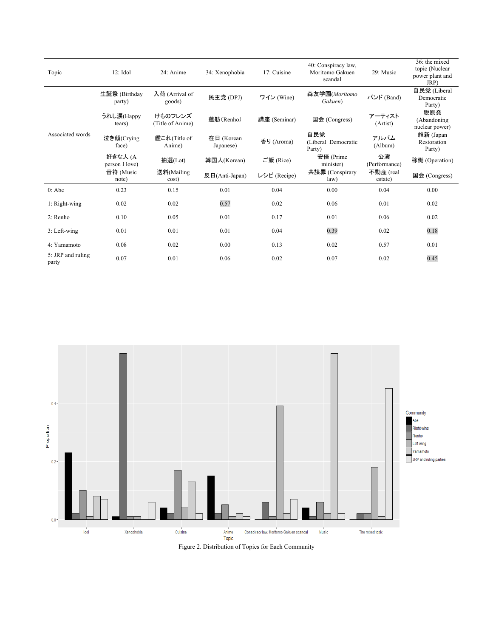| Topic                      | $12$ : Idol               | 24: Anime                   | 34: Xenophobia          | 17: Cuisine  | 40: Conspiracy law,<br>Moritomo Gakuen<br>scandal | 29: Music            | 36: the mixed<br>topic (Nuclear<br>power plant and<br>JRP) |  |
|----------------------------|---------------------------|-----------------------------|-------------------------|--------------|---------------------------------------------------|----------------------|------------------------------------------------------------|--|
| Associated words           | 生誕祭 (Birthday<br>party)   | 入荷 (Arrival of<br>goods)    | 民主党 (DPJ)               | ワイン (Wine)   | 森友学園(Moritomo<br>Gakuen)                          | バンド (Band)           | 自民党 (Liberal<br>Democratic<br>Party)                       |  |
|                            | うれし涙(Happy<br>tears)      | けものフレンズ<br>(Title of Anime) | 蓮舫(Renho)               | 講座 (Seminar) | 国会 (Congress)                                     |                      | 脱原発<br>(Abandoning<br>nuclear power)                       |  |
|                            | 泣き顔(Crying<br>face)       | 艦これ(Title of<br>Anime)      | 在日 (Korean<br>Japanese) | 香り (Aroma)   | 自民党<br>(Liberal Democratic<br>Party)              | アルバム<br>(Album)      | 維新 (Japan<br>Restoration<br>Party)                         |  |
|                            | 好きな人 (A<br>person I love) | 抽選(Lot)                     | 韓国人(Korean)             | ご飯 (Rice)    | 安倍 (Prime<br>minister)                            | 公演<br>(Performance)  | 稼働 (Operation)                                             |  |
|                            | 音符 (Music<br>note)        | 送料(Mailing<br>cost)         | 反日(Anti-Japan)          | レシピ (Recipe) | 共謀罪 (Conspirary<br>law)                           | 不動産 (real<br>estate) | 国会 (Congress)                                              |  |
| $0$ : Abe                  | 0.23                      | 0.15                        | 0.01                    | 0.04         | 0.00                                              | 0.04                 | 0.00                                                       |  |
| 1: Right-wing              | 0.02                      | 0.02                        | 0.57                    | 0.02         | 0.06                                              | 0.01                 | 0.02                                                       |  |
| 2: Renho                   | 0.10                      | 0.05                        | 0.01                    | 0.17         | 0.01                                              | 0.06                 | 0.02                                                       |  |
| 3: Left-wing               | 0.01                      | 0.01                        | 0.01                    | 0.04         | 0.39                                              | 0.02                 | 0.18                                                       |  |
| 4: Yamamoto                | 0.08                      | 0.02                        | 0.00                    | 0.13         | 0.02                                              | 0.57                 | 0.01                                                       |  |
| 5: JRP and ruling<br>party | 0.07                      | 0.01                        | 0.06                    | 0.02         | 0.07                                              | 0.02                 | 0.45                                                       |  |



Figure 2. Distribution of Topics for Each Community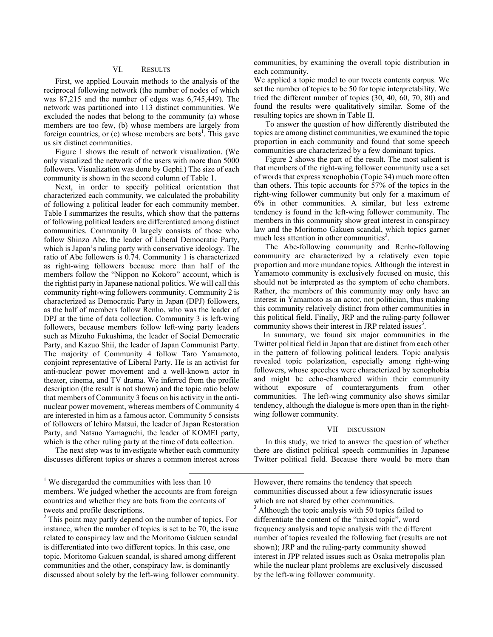## VI. RESULTS

First, we applied Louvain methods to the analysis of the reciprocal following network (the number of nodes of which was 87,215 and the number of edges was 6,745,449). The network was partitioned into 113 distinct communities. We excluded the nodes that belong to the community (a) whose members are too few, (b) whose members are largely from foreign countries, or  $(c)$  whose members are bots<sup>1</sup>. This gave us six distinct communities.

Figure 1 shows the result of network visualization. (We only visualized the network of the users with more than 5000 followers. Visualization was done by Gephi.) The size of each community is shown in the second column of Table 1.

Next, in order to specify political orientation that characterized each community, we calculated the probability of following a political leader for each community member. Table I summarizes the results, which show that the patterns of following political leaders are differentiated among distinct communities. Community 0 largely consists of those who follow Shinzo Abe, the leader of Liberal Democratic Party, which is Japan's ruling party with conservative ideology. The ratio of Abe followers is 0.74. Community 1 is characterized as right-wing followers because more than half of the members follow the "Nippon no Kokoro" account, which is the rightist party in Japanese national politics. We will call this community right-wing followers community. Community 2 is characterized as Democratic Party in Japan (DPJ) followers, as the half of members follow Renho, who was the leader of DPJ at the time of data collection. Community 3 is left-wing followers, because members follow left-wing party leaders such as Mizuho Fukushima, the leader of Social Democratic Party, and Kazuo Shii, the leader of Japan Communist Party. The majority of Community 4 follow Taro Yamamoto, conjoint representative of Liberal Party. He is an activist for anti-nuclear power movement and a well-known actor in theater, cinema, and TV drama. We inferred from the profile description (the result is not shown) and the topic ratio below that members of Community 3 focus on his activity in the antinuclear power movement, whereas members of Community 4 are interested in him as a famous actor. Community 5 consists of followers of Ichiro Matsui, the leader of Japan Restoration Party, and Natsuo Yamaguchi, the leader of KOMEI party, which is the other ruling party at the time of data collection.

The next step was to investigate whether each community discusses different topics or shares a common interest across communities, by examining the overall topic distribution in each community.

We applied a topic model to our tweets contents corpus. We set the number of topics to be 50 for topic interpretability. We tried the different number of topics (30, 40, 60, 70, 80) and found the results were qualitatively similar. Some of the resulting topics are shown in Table II.

To answer the question of how differently distributed the topics are among distinct communities, we examined the topic proportion in each community and found that some speech communities are characterized by a few dominant topics.

Figure 2 shows the part of the result. The most salient is that members of the right-wing follower community use a set of words that express xenophobia (Topic 34) much more often than others. This topic accounts for 57% of the topics in the right-wing follower community but only for a maximum of 6% in other communities. A similar, but less extreme tendency is found in the left-wing follower community. The members in this community show great interest in conspiracy law and the Moritomo Gakuen scandal, which topics garner much less attention in other communities<sup>2</sup>.

The Abe-following community and Renho-following community are characterized by a relatively even topic proportion and more mundane topics. Although the interest in Yamamoto community is exclusively focused on music, this should not be interpreted as the symptom of echo chambers. Rather, the members of this community may only have an interest in Yamamoto as an actor, not politician, thus making this community relatively distinct from other communities in this political field. Finally, JRP and the ruling-party follower community shows their interest in JRP related issues<sup>3</sup>.

In summary, we found six major communities in the Twitter political field in Japan that are distinct from each other in the pattern of following political leaders. Topic analysis revealed topic polarization, especially among right-wing followers, whose speeches were characterized by xenophobia and might be echo-chambered within their community without exposure of counterarguments from other communities. The left-wing community also shows similar tendency, although the dialogue is more open than in the rightwing follower community.

# VII DISCUSSION

In this study, we tried to answer the question of whether there are distinct political speech communities in Japanese Twitter political field. Because there would be more than

<sup>&</sup>lt;sup>1</sup> We disregarded the communities with less than  $10$ members. We judged whether the accounts are from foreign countries and whether they are bots from the contents of tweets and profile descriptions.

 $2$  This point may partly depend on the number of topics. For instance, when the number of topics is set to be 70, the issue related to conspiracy law and the Moritomo Gakuen scandal is differentiated into two different topics. In this case, one topic, Moritomo Gakuen scandal, is shared among different communities and the other, conspiracy law, is dominantly discussed about solely by the left-wing follower community.

However, there remains the tendency that speech communities discussed about a few idiosyncratic issues which are not shared by other communities.<br><sup>3</sup> Although the topic analysis with 50 topics failed to

differentiate the content of the "mixed topic", word frequency analysis and topic analysis with the different number of topics revealed the following fact (results are not shown); JRP and the ruling-party community showed interest in JPP related issues such as Osaka metropolis plan while the nuclear plant problems are exclusively discussed by the left-wing follower community.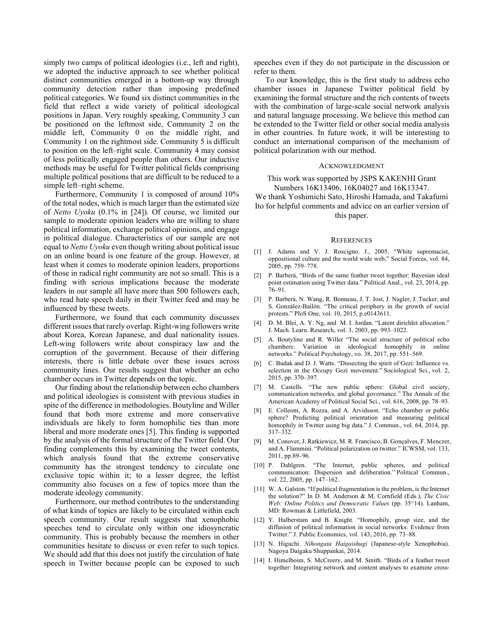simply two camps of political ideologies (i.e., left and right), we adopted the inductive approach to see whether political distinct communities emerged in a bottom-up way through community detection rather than imposing predefined political categories. We found six distinct communities in the field that reflect a wide variety of political ideological positions in Japan. Very roughly speaking, Community 3 can be positioned on the leftmost side, Community 2 on the middle left, Community 0 on the middle right, and Community 1 on the rightmost side. Community 5 is difficult to position on the left–right scale. Community 4 may consist of less politically engaged people than others. Our inductive methods may be useful for Twitter political fields comprising multiple political positions that are difficult to be reduced to a simple left–right scheme.

Furthermore, Community 1 is composed of around 10% of the total nodes, which is much larger than the estimated size of *Netto Uyoku* (0.1% in [24]). Of course, we limited our sample to moderate opinion leaders who are willing to share political information, exchange political opinions, and engage in political dialogue. Characteristics of our sample are not equal to *Netto Uyoku* even though writing about political issue on an online board is one feature of the group. However, at least when it comes to moderate opinion leaders, proportions of those in radical right community are not so small. This is a finding with serious implications because the moderate leaders in our sample all have more than 500 followers each, who read hate speech daily in their Twitter feed and may be influenced by these tweets.

Furthermore, we found that each community discusses different issues that rarely overlap. Right-wing followers write about Korea, Korean Japanese, and dual nationality issues. Left-wing followers write about conspiracy law and the corruption of the government. Because of their differing interests, there is little debate over these issues across community lines. Our results suggest that whether an echo chamber occurs in Twitter depends on the topic.

Our finding about the relationship between echo chambers and political ideologies is consistent with previous studies in spite of the difference in methodologies. Boutyline and Willer found that both more extreme and more conservative individuals are likely to form homophilic ties than more liberal and more moderate ones [5]. This finding is supported by the analysis of the formal structure of the Twitter field. Our finding complements this by examining the tweet contents, which analysis found that the extreme conservative community has the strongest tendency to circulate one exclusive topic within it; to a lesser degree, the leftist community also focuses on a few of topics more than the moderate ideology community.

Furthermore, our method contributes to the understanding of what kinds of topics are likely to be circulated within each speech community. Our result suggests that xenophobic speeches tend to circulate only within one idiosyncratic community. This is probably because the members in other communities hesitate to discuss or even refer to such topics. We should add that this does not justify the circulation of hate speech in Twitter because people can be exposed to such

speeches even if they do not participate in the discussion or refer to them.

To our knowledge, this is the first study to address echo chamber issues in Japanese Twitter political field by examining the formal structure and the rich contents of tweets with the combination of large-scale social network analysis and natural language processing. We believe this method can be extended to the Twitter field or other social media analysis in other countries. In future work, it will be interesting to conduct an international comparison of the mechanism of political polarization with our method.

#### ACKNOWLEDGMENT

This work was supported by JSPS KAKENHI Grant Numbers 16K13406, 16K04027 and 16K13347. We thank Yoshimichi Sato, Hiroshi Hamada, and Takafumi Ito for helpful comments and advice on an earlier version of this paper.

#### **REFERENCES**

- [1] J. Adams and V. J. Roscigno. J., 2005. "White supremacist, oppositional culture and the world wide web," Social Forces, vol. 84, 2005, pp. 759–778.
- [2] P. Barberá, "Birds of the same feather tweet together: Bayesian ideal point estimation using Twitter data." Political Anal., vol. 23, 2014, pp. 76–91.
- [3] P. Barberá, N. Wang, R. Bonneau, J. T. Jost, J. Nagler, J. Tucker, and S. González-Bailón. "The critical periphery in the growth of social protests." PloS One, vol. 10, 2015, p.e0143611.
- [4] D. M. Blei, A. Y. Ng, and M. I. Jordan. "Latent dirichlet allocation." J. Mach. Learn. Research, vol. 3, 2003, pp. 993–1022.
- [5] A. Boutyline and R. Willer "The social structure of political echo chambers: Variation in ideological homophily in online networks." Political Psychology, vo. 38, 2017, pp. 551–569.
- [6] C. Budak and D. J. Watts. "Dissecting the spirit of Gezi: Influence vs. selection in the Occupy Gezi movement." Sociological Sci., vol. 2, 2015, pp. 370–397.
- [7] M. Castells. "The new public sphere: Global civil society, communication networks, and global governance." The Annals of the American Academy of Political Social Sci., vol. 616, 2008, pp. 78–93.
- [8] E. Colleoni, A. Rozza, and A. Arvidsson. "Echo chamber or public sphere? Predicting political orientation and measuring political homophily in Twitter using big data." J. Commun., vol. 64, 2014, pp. 317–332.
- [9] M. Conover, J. Ratkiewicz, M. R. Francisco, B. Gonçalves, F. Menczer, and A. Flammini. "Political polarization on twitter." ICWSM, vol. 133, 2011, pp.89–96.
- [10] P. Dahlgren. "The Internet, public spheres, and political communication: Dispersion and deliberation." Political Commun., vol. 22, 2005, pp. 147–162.
- [11] W. A. Galston. "If political fragmentation is the problem, is the Intemet the solution?" In D. M. Anderson & M. Cornfield (Eds.), *The Civic Web: Online Politics and Democratic Values* (pp. 35^14). Lanham, MD: Rowman & Littlefield, 2003.
- [12] Y. Halberstam and B. Knight. "Homophily, group size, and the diffusion of political information in social networks: Evidence from Twitter." J. Public Economics, vol. 143, 2016, pp. 73–88.
- [13] N. Higuchi. *Nihongata Haigaishugi* (Japanese-style Xenophobia). Nagoya Daigaku Shuppankai, 2014.
- [14] I. Himelboim, S. McCreery, and M. Smith. "Birds of a feather tweet together: Integrating network and content analyses to examine cross-